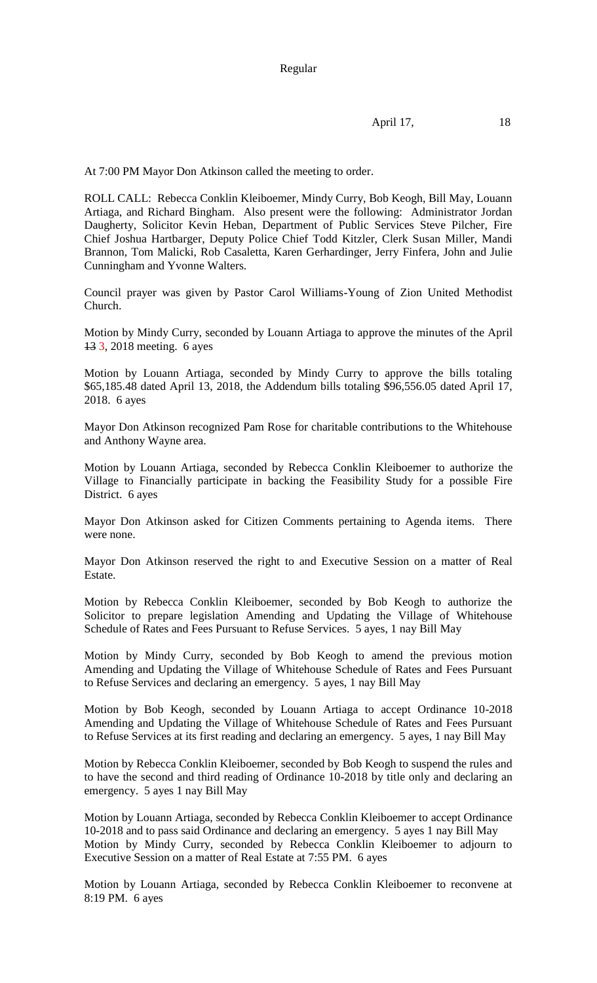Regular

April 17, 18

At 7:00 PM Mayor Don Atkinson called the meeting to order.

ROLL CALL: Rebecca Conklin Kleiboemer, Mindy Curry, Bob Keogh, Bill May, Louann Artiaga, and Richard Bingham. Also present were the following: Administrator Jordan Daugherty, Solicitor Kevin Heban, Department of Public Services Steve Pilcher, Fire Chief Joshua Hartbarger, Deputy Police Chief Todd Kitzler, Clerk Susan Miller, Mandi Brannon, Tom Malicki, Rob Casaletta, Karen Gerhardinger, Jerry Finfera, John and Julie Cunningham and Yvonne Walters.

Council prayer was given by Pastor Carol Williams-Young of Zion United Methodist Church.

Motion by Mindy Curry, seconded by Louann Artiaga to approve the minutes of the April 13 3, 2018 meeting. 6 ayes

Motion by Louann Artiaga, seconded by Mindy Curry to approve the bills totaling \$65,185.48 dated April 13, 2018, the Addendum bills totaling \$96,556.05 dated April 17, 2018. 6 ayes

Mayor Don Atkinson recognized Pam Rose for charitable contributions to the Whitehouse and Anthony Wayne area.

Motion by Louann Artiaga, seconded by Rebecca Conklin Kleiboemer to authorize the Village to Financially participate in backing the Feasibility Study for a possible Fire District. 6 ayes

Mayor Don Atkinson asked for Citizen Comments pertaining to Agenda items. There were none.

Mayor Don Atkinson reserved the right to and Executive Session on a matter of Real Estate.

Motion by Rebecca Conklin Kleiboemer, seconded by Bob Keogh to authorize the Solicitor to prepare legislation Amending and Updating the Village of Whitehouse Schedule of Rates and Fees Pursuant to Refuse Services. 5 ayes, 1 nay Bill May

Motion by Mindy Curry, seconded by Bob Keogh to amend the previous motion Amending and Updating the Village of Whitehouse Schedule of Rates and Fees Pursuant to Refuse Services and declaring an emergency. 5 ayes, 1 nay Bill May

Motion by Bob Keogh, seconded by Louann Artiaga to accept Ordinance 10-2018 Amending and Updating the Village of Whitehouse Schedule of Rates and Fees Pursuant to Refuse Services at its first reading and declaring an emergency. 5 ayes, 1 nay Bill May

Motion by Rebecca Conklin Kleiboemer, seconded by Bob Keogh to suspend the rules and to have the second and third reading of Ordinance 10-2018 by title only and declaring an emergency. 5 ayes 1 nay Bill May

Motion by Louann Artiaga, seconded by Rebecca Conklin Kleiboemer to accept Ordinance 10-2018 and to pass said Ordinance and declaring an emergency. 5 ayes 1 nay Bill May Motion by Mindy Curry, seconded by Rebecca Conklin Kleiboemer to adjourn to Executive Session on a matter of Real Estate at 7:55 PM. 6 ayes

Motion by Louann Artiaga, seconded by Rebecca Conklin Kleiboemer to reconvene at 8:19 PM. 6 ayes